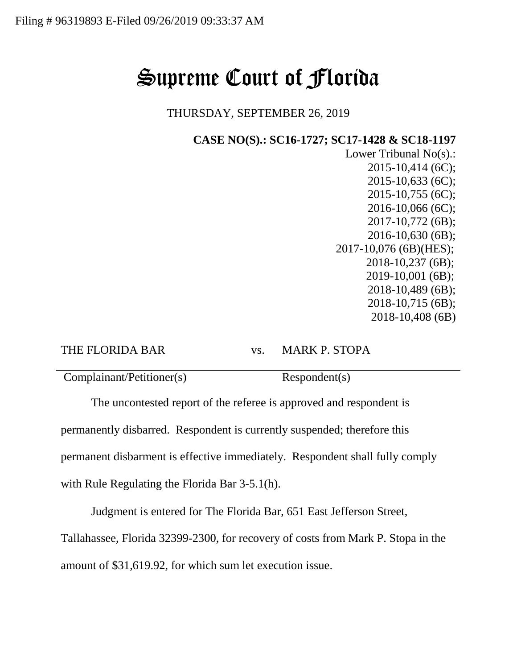## Supreme Court of Florida

THURSDAY, SEPTEMBER 26, 2019

**CASE NO(S).: SC16-1727; SC17-1428 & SC18-1197**

Lower Tribunal No(s).: 2015-10,414 (6C); 2015-10,633 (6C); 2015-10,755 (6C); 2016-10,066 (6C); 2017-10,772 (6B); 2016-10,630 (6B); 2017-10,076 (6B)(HES); 2018-10,237 (6B); 2019-10,001 (6B); 2018-10,489 (6B); 2018-10,715 (6B); 2018-10,408 (6B)

THE FLORIDA BAR vs. MARK P. STOPA

Complainant/Petitioner(s) Respondent(s)

The uncontested report of the referee is approved and respondent is permanently disbarred. Respondent is currently suspended; therefore this permanent disbarment is effective immediately. Respondent shall fully comply with Rule Regulating the Florida Bar 3-5.1(h).

Judgment is entered for The Florida Bar, 651 East Jefferson Street,

Tallahassee, Florida 32399-2300, for recovery of costs from Mark P. Stopa in the amount of \$31,619.92, for which sum let execution issue.